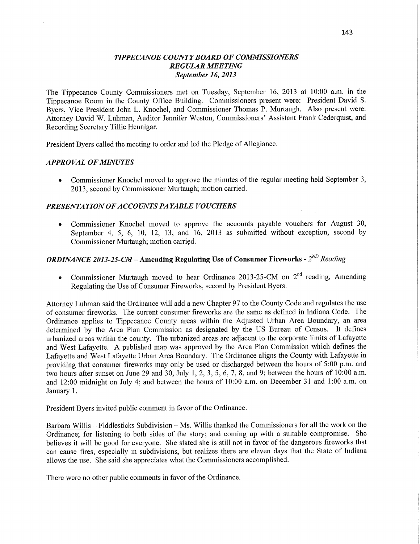#### *TIPPECANOE* C0 *UNTY BOARD* OF *COMMISSIONERS REGULAR MEETING September* 16, *2013*

The Tippecanoe County Commissioners met on Tuesday, September 16, 2013 at 10:00 am. in the Tippecanoe Room in the County Office **Building. Commissioners** present were: President David S. Byers, **Vice** President John L. Knochel, and Commissioner **Thomas** P. Murtaugh. **Also** present were: Attorney David W. Luhman, Auditor Jennifer Weston, Commissioners' Assistant Frank Cederquist, and Recording Secretary Tillie Hennigar.

President Byers called the meeting to order and led the Pledge of Allegiance.

#### *APPROVAL* OF *MINUTES*

**0** Commissioner Knochel moved to approve the minutes of the regular meeting held September 3, 2013, second by Commissioner Murtaugh; motion carried.

#### *PRESENTATION* OF *ACCOUNT S* PA *YABLE VOUCHERS*

**0** Commissioner Knochel moved to approve the accounts payable vouchers for August 30, September 4, 5, 6, 10, 12, 13, and 16, 2013 as submitted without exception, second by **Commissioner** Murtaugh; **motion** carried.

# *ORDINANCE 2013-25-CM—* **Amending Regulating** Use of **Consumer Fireworks** *-* 2ND *Reading*

• Commissioner Murtaugh moved to hear Ordinance 2013-25-CM on 2<sup>nd</sup> reading, Amending Regulating the Use of Consumer Fireworks, second by President Byers.

Attorney Luhman said the Ordinance will add a new Chapter 97 to the County Code and regulates the use of consumer fireworks. The current consumer fireworks are the same as defined in Indiana Code. The Ordinance applies to Tippecanoe County areas within the Adjusted Urban Area Boundary, an area determined by the Area Plan Commission as designated by the US Bureau of Census. It defines urbanized areas within the county. The urbanized areas are adjacent to the corporate limits of Lafayette and West Lafayette. **A** published map was approved by the Area Plan Commission which defines the Lafayette and West Lafayette Urban Area Boundary. The Ordinance aligns the County with Lafayette in providing that consumer fireworks may only be used or discharged between the hours of 5:00 pm. and two hours after sunset on June 29 and 30, July 1, 2, 3, 5, 6, 7, 8, and 9; between the hours of 10:00 **am.**  and 12:00 **midnight** on July 4; and between the hours of **10:00 am.** on December 31 and 1:00 **am.** on January 1.

President Byers invited public comment in favor of the Ordinance.

Barbara Willis **—** F iddlesticks Subdivision **—** Ms. Willis thanked the Commissioners for all the work on the Ordinance; for listening to both sides of the story; and coming up with **a** suitable compromise. She believes it will be good for everyone. She stated she is still not in favor of the dangerous fireworks that can cause fires, especially in subdivisions, but realizes there are eleven days that the State of Indiana allows the use. She said she appreciates what the Commissioners accomplished.

There were no other public comments in favor of the Ordinance.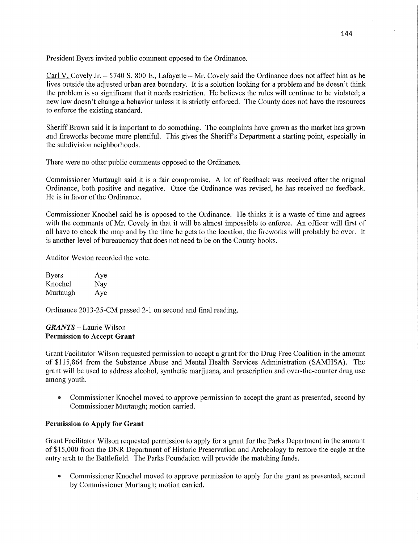President Byers invited public comment opposed to the Ordinance.

Carl V. Covely Jr. *—* 5740 S. 800 E., Lafayette **—** Mr. Covely said the Ordinance does not affect him as he lives outside the adjusted urban area boundary. It is a solution looking for a problem and he doesn't think the problem is so significant that it needs restriction. He believes the rules will continue to be violated; <sup>a</sup> new law doesn't change a behavior unless it is strictly enforced. The County does not have the resources to enforce the existing standard.

Sheriff Brown said it is important to do something. The complaints have grown as the market has grown and fireworks become more plentiful. This gives the Sheriff's Department a starting point, especially in the subdivision neighborhoods.

There were no other public comments opposed to the Ordinance.

Commissioner Murtaugh said it is a fair compromise. **A** lot of feedback was received afier the original Ordinance, both positive and negative. Once the Ordinance was revised, he has received no feedback. He is in favor of the Ordinance.

Commissioner Knochel. said he is opposed to the Ordinance. He thinks it is a waste of time and agrees with the comments of Mr. Covely in that it will be almost impossible to enforce. An officer will first of all have to check the map and by the time he gets to the location, the fireworks will probably be over. It is another level of bureaucracy that does not need to be on the County books.

Auditor Weston recorded the vote.

| <b>Byers</b> | Aye |
|--------------|-----|
| Knochel      | Nay |
| Murtaugh     | Aye |

Ordinance 2013-25-CM passed 2-1 on second and final reading.

#### *GRANTS* — Laurie Wilson Permission to **Accept Grant**

Grant Facilitator Wilson requested permission to accept <sup>a</sup>grant for the Drug Free Coalition in the amount of \$115,864 from the Substance Abuse and Mental Health Services Administration (SAMHSA). The grant will be used to address alcohol, synthetic marijuana, and prescription and over-the-counter drug use among youth.

**0** Commissioner Knochel moved to approve permission to accept the grant as presented, second by Commissioner Murtaugh; motion carried.

## **Permission** to **Apply** for **Grant**

Grant Facilitator Wilson requested permission to apply for <sup>a</sup>grant for the Parks Department in the amount of \$15,000 from the DNR Department of Historic Preservation and Archeology to restore the eagle at the entry arch to the Battlefield. The Parks Foundation will provide the matching funds.

**0** Commissioner Knochel moved to approve permission to apply for the grant as presented, second by Commissioner Murtaugh; motion carried.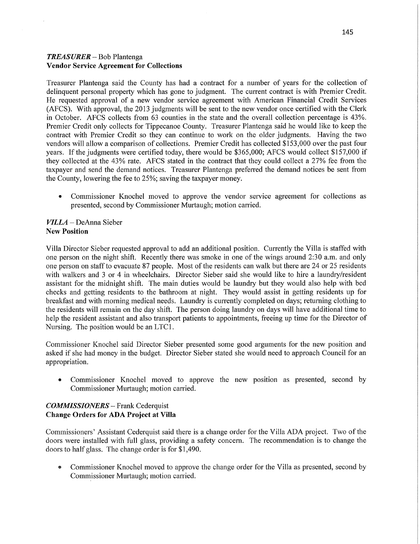### *TREASURER —* Bob Plantenga **Vendor Service Agreement** for Collections

Treasurer Plantenga said the County has had a contract for a number of years for the collection of delinquent personal property which has gone to judgment. The current contract is with Premier Credit. He requested approval of **a** new vendor service agreement with American Financial Credit Services (AFCS). With approval, the 2013 judgments will be sent to the new vendor once certified with the Clerk in October. AFCS collects from 63 counties in the state and the overall collection percentage is 43%. Premier Credit only collects for Tippecanoe County. Treasurer Plantenga said he would like to keep the contract with Premier Credit so they can continue to work on the older judgments. Having the two vendors will allow a comparison of collections. Premier Credit has collected \$153,000 over the past four years. If the judgments were certified today, there would be \$365,000; AFCS would collect \$157,000 if they collected at the 43% rate. AFCS stated in the contract that they could collect a 27% fee from the taxpayer and send the demand notices. Treasurer Plantenga preferred the demand notices be sent from the County, lowering the fee to 25%; saving the taxpayer money.

**0** Commissioner Knochel moved to approve the vendor service agreement for collections as presented, second by Commissioner Murtaugh; motion carried.

#### *VILLA* **—** DeAnna Sieber New Position

Villa Director Sieber requested approval to add an additional position. Currently the Villa is staffed with one person on the night shift. Recently there was smoke in one of the wings around 2:30 a.m. and only one person on staff to evacuate 87 people. Most of the residents can walk but there are 24 or 25 residents with walkers and 3 or 4 in wheelchairs. Director Sieber said she would like to hire a laundry/resident assistant for the midnight shift. The main duties would be laundry but they would also help with bed checks and getting residents to the bathroom at night. They would assist in getting residents up for breakfast and with morning medical needs. Laundry is currently completed on days; returning clothing to the residents will remain on the day shift. The person doing laundry on days will have additional time to help the resident assistant and also transport patients to appointments, freeing up time for the Director of Nursing. The position would be an LTCl.

Commissioner Knochel said Director Sieber presented some good arguments for the new position and asked if she had money in the budget. Director Sieber stated she would need to approach Council for an appropriation.

**0** Commissioner Knochel moved to approve the new position as presented, second by Commissioner Murtaugh; motion carried.

#### *COMMISSIONERS* —— Frank Cederquist **Change Orders** for ADA **Project** at **Villa**

Commissioners' Assistant Cederquist said there is a change order for the Villa ADA project. Two of the doors were installed with full glass, providing a safety concern. The recommendation is to change the doors to half glass. The change order is for \$1,490.

**0** Commissioner Knochel moved to approve the change order for the Villa as presented, second by Commissioner Murtaugh; motion carried.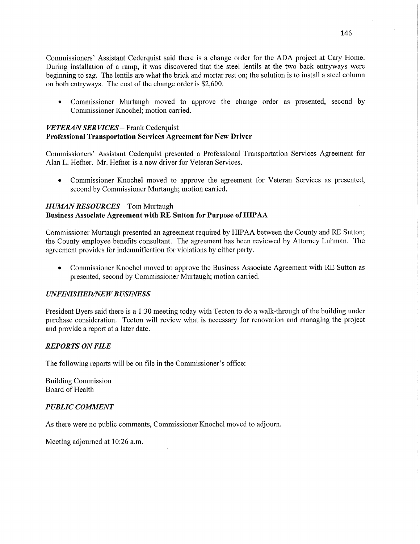Commissioners' Assistant Cederquist said there is a change order for the ADA project at Cary Home. During installation of a ramp, it was discovered that the steel lentils at the two back entryways were beginning to sag. The lentils are what the brick and mortar rest on; the solution is to install a steel column on both entryways. The cost of the change order is \$2,600.

*0* Commissioner Murtaugh moved to approve the change order as presented, second by Commissioner Knochel; motion carried.

#### *VETERAN* SER *VICES* — **Frank** Cederquist **Professional Transportation Services Agreement** for New **Driver**

Commissioners' Assistant Cederquist presented **a** Professional Transportation Services Agreement for Alan L. Hefner. Mr. Hefner is a new driver for Veteran Services.

**0** Commissioner Knochel moved to approve the agreement for Veteran Services as presented, second by Commissioner Murtaugh; motion carried.

#### *HUMAN RESOURCES* – Tom Murtaugh **Business Associate Agreement with** RE **Sutton** for **Purpose** of **HIPAA**

Commissioner Murtaugh presented an agreement required by HIPAA between the County and RE Sutton; the County employee benefits consultant. The agreement has been reviewed by Attorney Luhman. The agreement provides for indemnification for violations by either party.

**0** Commissioner Knochel moved to approve the Business Associate Agreement with RE Sutton as presented, second by Commissioner Murtaugh; motion carried.

#### *UNFINISHEDflVEWBUSINESS*

President Byers said there is a 1:30 meeting today with Tecton to do a walk-through of the building under purchase consideration. Tecton will review what is necessary for renovation and managing the project and provide **a** report at a later date.

#### *REPORTS* ON *FILE*

The following reports will be on file in the Commissioner's office:

Building Commission Board of Health

#### *PUBLIC COMMENT*

As there were no public comments, Commissioner Knochel moved to adjourn.

Meeting adjourned at 10:26 a.m.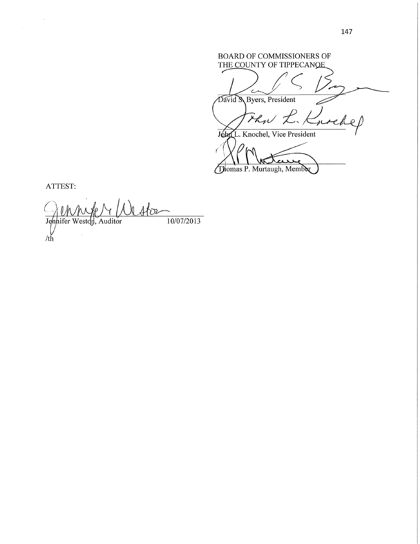BOARD OF COMMISSIONERS OF THE COUNTY OF TIPPECANOE David S Byers, President That *K Knocke* John L. Knochel, Vice President κ M  $\mathbf{A}$ 

Thomas P. Murtaugh, Member

ATTEST:

 $\sim$   $\sim$ 

**f** *)* MWW WW ifer Weston, Auditor  $10/07/2013$ 

147